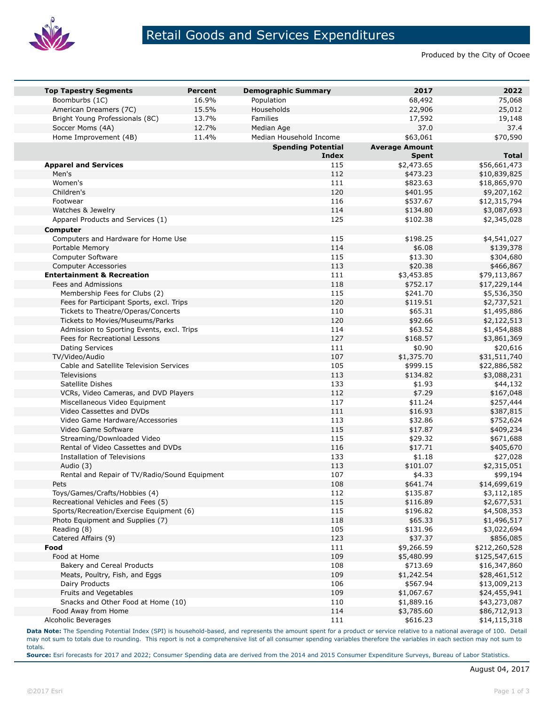

## Retail Goods and Services Expenditures

Produced by the City of Ocoee

| <b>Top Tapestry Segments</b>                  | <b>Percent</b> | <b>Demographic Summary</b> | 2017                  | 2022          |
|-----------------------------------------------|----------------|----------------------------|-----------------------|---------------|
| Boomburbs (1C)                                | 16.9%          | Population                 | 68,492                | 75,068        |
| American Dreamers (7C)                        | 15.5%          | Households                 | 22,906                | 25,012        |
| Bright Young Professionals (8C)               | 13.7%          | Families                   | 17,592                | 19,148        |
| Soccer Moms (4A)                              | 12.7%          | Median Age                 | 37.0                  | 37.4          |
| Home Improvement (4B)                         | 11.4%          | Median Household Income    | \$63,061              | \$70,590      |
|                                               |                | <b>Spending Potential</b>  | <b>Average Amount</b> |               |
|                                               |                | Index                      | <b>Spent</b>          | <b>Total</b>  |
| <b>Apparel and Services</b>                   |                | 115                        | \$2,473.65            | \$56,661,473  |
| Men's                                         |                | 112                        | \$473.23              | \$10,839,825  |
| Women's                                       |                | 111                        | \$823.63              | \$18,865,970  |
| Children's                                    |                | 120                        | \$401.95              | \$9,207,162   |
| Footwear                                      |                | 116                        | \$537.67              | \$12,315,794  |
| Watches & Jewelry                             |                | 114                        | \$134.80              | \$3,087,693   |
| Apparel Products and Services (1)             |                | 125                        | \$102.38              | \$2,345,028   |
| Computer                                      |                |                            |                       |               |
| Computers and Hardware for Home Use           |                | 115                        | \$198.25              | \$4,541,027   |
| Portable Memory                               |                | 114                        | \$6.08                | \$139,378     |
| Computer Software                             |                | 115                        | \$13.30               | \$304,680     |
| <b>Computer Accessories</b>                   |                | 113                        | \$20.38               | \$466,867     |
| <b>Entertainment &amp; Recreation</b>         |                | 111                        | \$3,453.85            | \$79,113,867  |
| Fees and Admissions                           |                | 118                        | \$752.17              | \$17,229,144  |
| Membership Fees for Clubs (2)                 |                | 115                        | \$241.70              | \$5,536,350   |
| Fees for Participant Sports, excl. Trips      |                | 120                        | \$119.51              | \$2,737,521   |
| Tickets to Theatre/Operas/Concerts            |                | 110                        | \$65.31               | \$1,495,886   |
| Tickets to Movies/Museums/Parks               |                | 120                        | \$92.66               | \$2,122,513   |
| Admission to Sporting Events, excl. Trips     |                | 114                        | \$63.52               | \$1,454,888   |
| Fees for Recreational Lessons                 |                | 127                        | \$168.57              | \$3,861,369   |
| <b>Dating Services</b>                        |                | 111                        | \$0.90                | \$20,616      |
| TV/Video/Audio                                |                | 107                        | \$1,375.70            | \$31,511,740  |
| Cable and Satellite Television Services       |                | 105                        | \$999.15              | \$22,886,582  |
| <b>Televisions</b>                            |                | 113                        | \$134.82              | \$3,088,231   |
| Satellite Dishes                              |                | 133                        | \$1.93                | \$44,132      |
| VCRs, Video Cameras, and DVD Players          |                | 112                        | \$7.29                | \$167,048     |
| Miscellaneous Video Equipment                 |                | 117                        | \$11.24               | \$257,444     |
| Video Cassettes and DVDs                      |                | 111                        | \$16.93               | \$387,815     |
| Video Game Hardware/Accessories               |                | 113                        | \$32.86               | \$752,624     |
| Video Game Software                           |                | 115                        | \$17.87               | \$409,234     |
| Streaming/Downloaded Video                    |                | 115                        | \$29.32               | \$671,688     |
| Rental of Video Cassettes and DVDs            |                | 116                        | \$17.71               | \$405,670     |
| Installation of Televisions                   |                | 133                        | \$1.18                | \$27,028      |
| Audio (3)                                     |                | 113                        | \$101.07              | \$2,315,051   |
| Rental and Repair of TV/Radio/Sound Equipment |                | 107                        | \$4.33                | \$99,194      |
| Pets                                          |                | 108                        | \$641.74              | \$14,699,619  |
| Toys/Games/Crafts/Hobbies (4)                 |                | 112                        | \$135.87              | \$3,112,185   |
| Recreational Vehicles and Fees (5)            |                | 115                        | \$116.89              | \$2,677,531   |
| Sports/Recreation/Exercise Equipment (6)      |                | 115                        | \$196.82              | \$4,508,353   |
| Photo Equipment and Supplies (7)              |                | 118                        | \$65.33               | \$1,496,517   |
| Reading (8)                                   |                | 105                        | \$131.96              | \$3,022,694   |
| Catered Affairs (9)                           |                | 123                        | \$37.37               | \$856,085     |
| Food                                          |                | 111                        | \$9,266.59            | \$212,260,528 |
| Food at Home                                  |                | 109                        | \$5,480.99            | \$125,547,615 |
| Bakery and Cereal Products                    |                | 108                        | \$713.69              | \$16,347,860  |
| Meats, Poultry, Fish, and Eggs                |                | 109                        | \$1,242.54            | \$28,461,512  |
| Dairy Products                                |                | 106                        | \$567.94              | \$13,009,213  |
| Fruits and Vegetables                         |                | 109                        | \$1,067.67            | \$24,455,941  |
| Snacks and Other Food at Home (10)            |                | 110                        | \$1,889.16            | \$43,273,087  |
| Food Away from Home                           |                | 114                        | \$3,785.60            | \$86,712,913  |
| Alcoholic Beverages                           |                | 111                        | \$616.23              | \$14,115,318  |
|                                               |                |                            |                       |               |

**Data Note:** The Spending Potential Index (SPI) is household-based, and represents the amount spent for a product or service relative to a national average of 100. Detail may not sum to totals due to rounding. This report is not a comprehensive list of all consumer spending variables therefore the variables in each section may not sum to totals.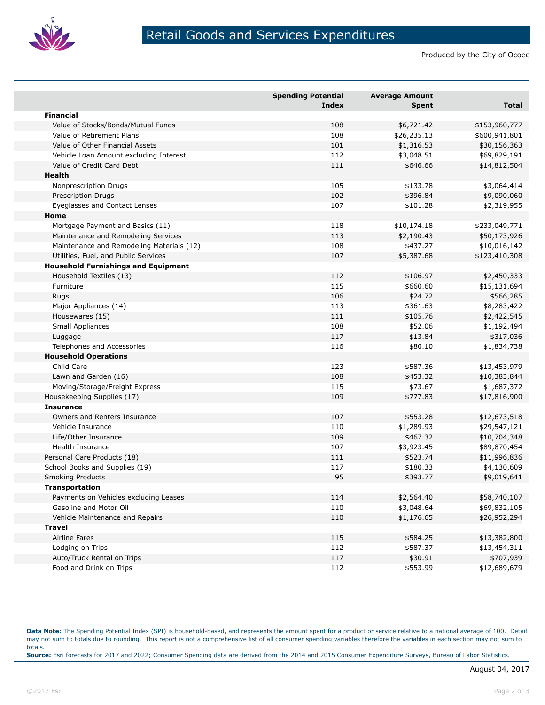

Produced by the City of Ocoee

|                                            | <b>Spending Potential</b><br><b>Index</b> | <b>Average Amount</b><br><b>Spent</b> | <b>Total</b>  |
|--------------------------------------------|-------------------------------------------|---------------------------------------|---------------|
| <b>Financial</b>                           |                                           |                                       |               |
| Value of Stocks/Bonds/Mutual Funds         | 108                                       | \$6,721.42                            | \$153,960,777 |
| Value of Retirement Plans                  | 108                                       | \$26,235.13                           | \$600,941,801 |
| Value of Other Financial Assets            | 101                                       | \$1,316.53                            | \$30,156,363  |
| Vehicle Loan Amount excluding Interest     | 112                                       | \$3,048.51                            | \$69,829,191  |
| Value of Credit Card Debt                  | 111                                       | \$646.66                              | \$14,812,504  |
| <b>Health</b>                              |                                           |                                       |               |
| Nonprescription Drugs                      | 105                                       | \$133.78                              | \$3,064,414   |
| Prescription Drugs                         | 102                                       | \$396.84                              | \$9,090,060   |
| Eyeglasses and Contact Lenses              | 107                                       | \$101.28                              | \$2,319,955   |
| Home                                       |                                           |                                       |               |
| Mortgage Payment and Basics (11)           | 118                                       | \$10,174.18                           | \$233,049,771 |
| Maintenance and Remodeling Services        | 113                                       | \$2,190.43                            | \$50,173,926  |
| Maintenance and Remodeling Materials (12)  | 108                                       | \$437.27                              | \$10,016,142  |
| Utilities, Fuel, and Public Services       | 107                                       | \$5,387.68                            | \$123,410,308 |
| <b>Household Furnishings and Equipment</b> |                                           |                                       |               |
| Household Textiles (13)                    | 112                                       | \$106.97                              | \$2,450,333   |
| Furniture                                  | 115                                       | \$660.60                              | \$15,131,694  |
| Rugs                                       | 106                                       | \$24.72                               | \$566,285     |
| Major Appliances (14)                      | 113                                       | \$361.63                              | \$8,283,422   |
| Housewares (15)                            | 111                                       | \$105.76                              | \$2,422,545   |
| Small Appliances                           | 108                                       | \$52.06                               | \$1,192,494   |
| Luggage                                    | 117                                       | \$13.84                               | \$317,036     |
| Telephones and Accessories                 | 116                                       | \$80.10                               | \$1,834,738   |
| <b>Household Operations</b>                |                                           |                                       |               |
| Child Care                                 | 123                                       | \$587.36                              | \$13,453,979  |
| Lawn and Garden (16)                       | 108                                       | \$453.32                              | \$10,383,844  |
| Moving/Storage/Freight Express             | 115                                       | \$73.67                               | \$1,687,372   |
| Housekeeping Supplies (17)                 | 109                                       | \$777.83                              | \$17,816,900  |
| <b>Insurance</b>                           |                                           |                                       |               |
| Owners and Renters Insurance               | 107                                       | \$553.28                              | \$12,673,518  |
| Vehicle Insurance                          | 110                                       | \$1,289.93                            | \$29,547,121  |
| Life/Other Insurance                       | 109                                       | \$467.32                              | \$10,704,348  |
| Health Insurance                           | 107                                       | \$3,923.45                            | \$89,870,454  |
| Personal Care Products (18)                | 111                                       | \$523.74                              | \$11,996,836  |
| School Books and Supplies (19)             | 117                                       | \$180.33                              | \$4,130,609   |
| <b>Smoking Products</b>                    | 95                                        | \$393.77                              | \$9,019,641   |
| <b>Transportation</b>                      |                                           |                                       |               |
| Payments on Vehicles excluding Leases      | 114                                       | \$2,564.40                            | \$58,740,107  |
| Gasoline and Motor Oil                     | 110                                       | \$3,048.64                            | \$69,832,105  |
| Vehicle Maintenance and Repairs            | 110                                       | \$1,176.65                            | \$26,952,294  |
| <b>Travel</b>                              |                                           |                                       |               |
| Airline Fares                              | 115                                       | \$584.25                              | \$13,382,800  |
| Lodging on Trips                           | 112                                       | \$587.37                              | \$13,454,311  |
| Auto/Truck Rental on Trips                 | 117                                       | \$30.91                               | \$707,939     |
| Food and Drink on Trips                    | 112                                       | \$553.99                              | \$12,689,679  |

**Data Note:** The Spending Potential Index (SPI) is household-based, and represents the amount spent for a product or service relative to a national average of 100. Detail may not sum to totals due to rounding. This report is not a comprehensive list of all consumer spending variables therefore the variables in each section may not sum to totals. **Source:** Esri forecasts for 2017 and 2022; Consumer Spending data are derived from the 2014 and 2015 Consumer Expenditure Surveys, Bureau of Labor Statistics.